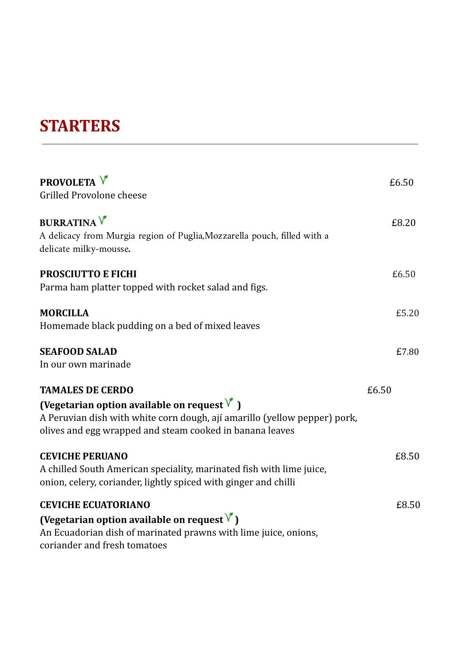### **STARTERS**

| PROVOLETA <sup>V</sup><br><b>Grilled Provolone cheese</b>                                                                                                                                                         | £6.50 |
|-------------------------------------------------------------------------------------------------------------------------------------------------------------------------------------------------------------------|-------|
| <b>BURRATINA</b> V<br>A delicacy from Murgia region of Puglia, Mozzarella pouch, filled with a<br>delicate milky-mousse.                                                                                          | £8.20 |
| <b>PROSCIUTTO E FICHI</b><br>Parma ham platter topped with rocket salad and figs.                                                                                                                                 | £6.50 |
| <b>MORCILLA</b><br>Homemade black pudding on a bed of mixed leaves                                                                                                                                                | £5.20 |
| <b>SEAFOOD SALAD</b><br>In our own marinade                                                                                                                                                                       | £7.80 |
| <b>TAMALES DE CERDO</b><br>(Vegetarian option available on request $V$ )<br>A Peruvian dish with white corn dough, ají amarillo (yellow pepper) pork,<br>olives and egg wrapped and steam cooked in banana leaves | £6.50 |
| <b>CEVICHE PERUANO</b><br>A chilled South American speciality, marinated fish with lime juice,<br>onion, celery, coriander, lightly spiced with ginger and chilli                                                 | £8.50 |
| <b>CEVICHE ECUATORIANO</b><br>(Vegetarian option available on request $V$ )<br>An Ecuadorian dish of marinated prawns with lime juice, onions,<br>coriander and fresh tomatoes                                    | £8.50 |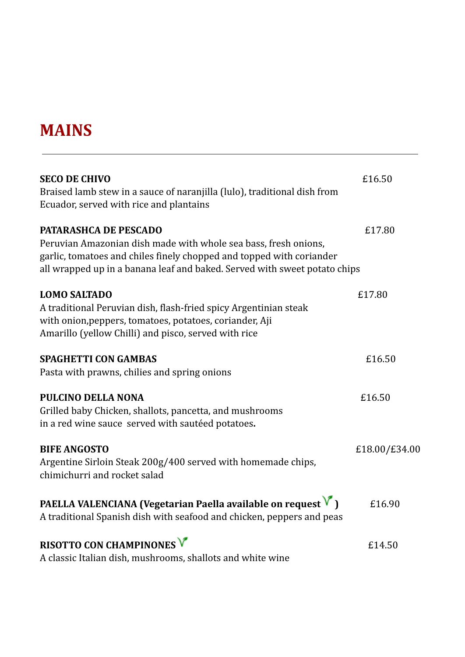#### **MAINS**

| <b>SECO DE CHIVO</b>                                                                                                                                                                                                 | £16.50        |
|----------------------------------------------------------------------------------------------------------------------------------------------------------------------------------------------------------------------|---------------|
| Braised lamb stew in a sauce of naranjilla (lulo), traditional dish from<br>Ecuador, served with rice and plantains                                                                                                  |               |
| PATARASHCA DE PESCADO                                                                                                                                                                                                | £17.80        |
| Peruvian Amazonian dish made with whole sea bass, fresh onions,<br>garlic, tomatoes and chiles finely chopped and topped with coriander<br>all wrapped up in a banana leaf and baked. Served with sweet potato chips |               |
| <b>LOMO SALTADO</b>                                                                                                                                                                                                  | £17.80        |
| A traditional Peruvian dish, flash-fried spicy Argentinian steak<br>with onion, peppers, tomatoes, potatoes, coriander, Aji<br>Amarillo (yellow Chilli) and pisco, served with rice                                  |               |
| <b>SPAGHETTI CON GAMBAS</b>                                                                                                                                                                                          | £16.50        |
| Pasta with prawns, chilies and spring onions                                                                                                                                                                         |               |
| <b>PULCINO DELLA NONA</b>                                                                                                                                                                                            | £16.50        |
| Grilled baby Chicken, shallots, pancetta, and mushrooms<br>in a red wine sauce served with sautéed potatoes.                                                                                                         |               |
| <b>BIFE ANGOSTO</b>                                                                                                                                                                                                  | £18.00/£34.00 |
| Argentine Sirloin Steak 200g/400 served with homemade chips,<br>chimichurri and rocket salad                                                                                                                         |               |
| PAELLA VALENCIANA (Vegetarian Paella available on request $V$ )<br>A traditional Spanish dish with seafood and chicken, peppers and peas                                                                             | £16.90        |
| RISOTTO CON CHAMPINONES $V$                                                                                                                                                                                          | £14.50        |
| A classic Italian dish, mushrooms, shallots and white wine                                                                                                                                                           |               |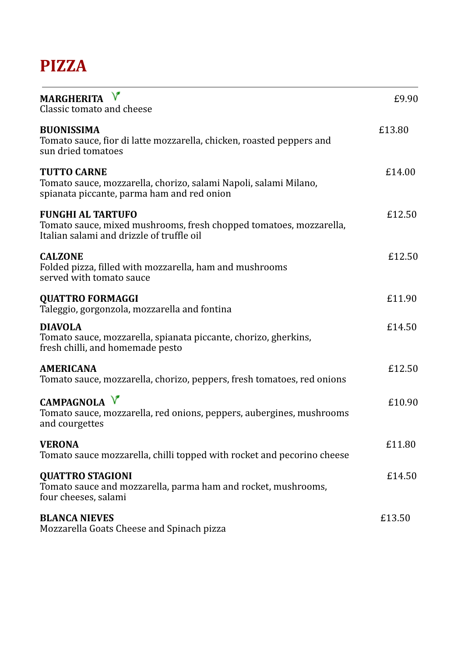#### **PIZZA**

| MARGHERITA V<br>Classic tomato and cheese                                                                                                   | £9.90  |
|---------------------------------------------------------------------------------------------------------------------------------------------|--------|
| <b>BUONISSIMA</b><br>Tomato sauce, fior di latte mozzarella, chicken, roasted peppers and<br>sun dried tomatoes                             | £13.80 |
| <b>TUTTO CARNE</b><br>Tomato sauce, mozzarella, chorizo, salami Napoli, salami Milano,<br>spianata piccante, parma ham and red onion        | £14.00 |
| <b>FUNGHI AL TARTUFO</b><br>Tomato sauce, mixed mushrooms, fresh chopped tomatoes, mozzarella,<br>Italian salami and drizzle of truffle oil | £12.50 |
| <b>CALZONE</b><br>Folded pizza, filled with mozzarella, ham and mushrooms<br>served with tomato sauce                                       | £12.50 |
| <b>QUATTRO FORMAGGI</b><br>Taleggio, gorgonzola, mozzarella and fontina                                                                     | £11.90 |
| <b>DIAVOLA</b><br>Tomato sauce, mozzarella, spianata piccante, chorizo, gherkins,<br>fresh chilli, and homemade pesto                       | £14.50 |
| <b>AMERICANA</b><br>Tomato sauce, mozzarella, chorizo, peppers, fresh tomatoes, red onions                                                  | £12.50 |
| CAMPAGNOLA V<br>Tomato sauce, mozzarella, red onions, peppers, aubergines, mushrooms<br>and courgettes                                      | £10.90 |
| <b>VERONA</b><br>Tomato sauce mozzarella, chilli topped with rocket and pecorino cheese                                                     | £11.80 |
| <b>QUATTRO STAGIONI</b><br>Tomato sauce and mozzarella, parma ham and rocket, mushrooms,<br>four cheeses, salami                            | £14.50 |
| <b>BLANCA NIEVES</b><br>Mozzarella Goats Cheese and Spinach pizza                                                                           | £13.50 |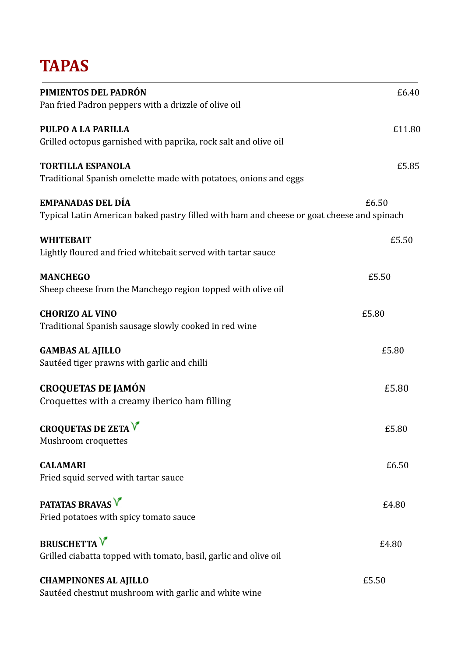### **TAPAS**

| PIMIENTOS DEL PADRÓN                                                                                                  | £6.40  |
|-----------------------------------------------------------------------------------------------------------------------|--------|
| Pan fried Padron peppers with a drizzle of olive oil                                                                  |        |
| PULPO A LA PARILLA<br>Grilled octopus garnished with paprika, rock salt and olive oil                                 | £11.80 |
| <b>TORTILLA ESPANOLA</b><br>Traditional Spanish omelette made with potatoes, onions and eggs                          | £5.85  |
| <b>EMPANADAS DEL DÍA</b><br>Typical Latin American baked pastry filled with ham and cheese or goat cheese and spinach | £6.50  |
| <b>WHITEBAIT</b><br>Lightly floured and fried whitebait served with tartar sauce                                      | £5.50  |
| <b>MANCHEGO</b><br>Sheep cheese from the Manchego region topped with olive oil                                        | £5.50  |
| <b>CHORIZO AL VINO</b><br>Traditional Spanish sausage slowly cooked in red wine                                       | £5.80  |
| <b>GAMBAS AL AJILLO</b><br>Sautéed tiger prawns with garlic and chilli                                                | £5.80  |
| <b>CROQUETAS DE JAMÓN</b><br>Croquettes with a creamy iberico ham filling                                             | £5.80  |
| <b>CROQUETAS DE ZETA V</b><br>Mushroom croquettes                                                                     | £5.80  |
| <b>CALAMARI</b><br>Fried squid served with tartar sauce                                                               | £6.50  |
| <b>PATATAS BRAVAS</b><br>Fried potatoes with spicy tomato sauce                                                       | £4.80  |
| <b>BRUSCHETTA</b><br>Grilled ciabatta topped with tomato, basil, garlic and olive oil                                 | £4.80  |
| <b>CHAMPINONES AL AJILLO</b><br>Sautéed chestnut mushroom with garlic and white wine                                  | £5.50  |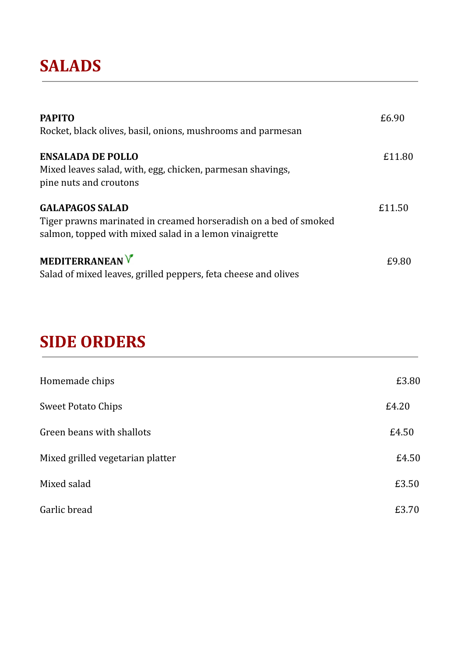### **SALADS**

| <b>PAPITO</b><br>Rocket, black olives, basil, onions, mushrooms and parmesan                                                                         | £6.90  |
|------------------------------------------------------------------------------------------------------------------------------------------------------|--------|
| <b>ENSALADA DE POLLO</b><br>Mixed leaves salad, with, egg, chicken, parmesan shavings,<br>pine nuts and croutons                                     | £11.80 |
| <b>GALAPAGOS SALAD</b><br>Tiger prawns marinated in creamed horseradish on a bed of smoked<br>salmon, topped with mixed salad in a lemon vinaigrette | £11.50 |
| MEDITERRANEAN <sup>V</sup><br>Salad of mixed leaves, grilled peppers, feta cheese and olives                                                         | £9.80  |

# **SIDE ORDERS**

| Homemade chips                   | £3.80 |
|----------------------------------|-------|
| <b>Sweet Potato Chips</b>        | £4.20 |
| Green beans with shallots        | £4.50 |
| Mixed grilled vegetarian platter | £4.50 |
| Mixed salad                      | £3.50 |
| Garlic bread                     | £3.70 |